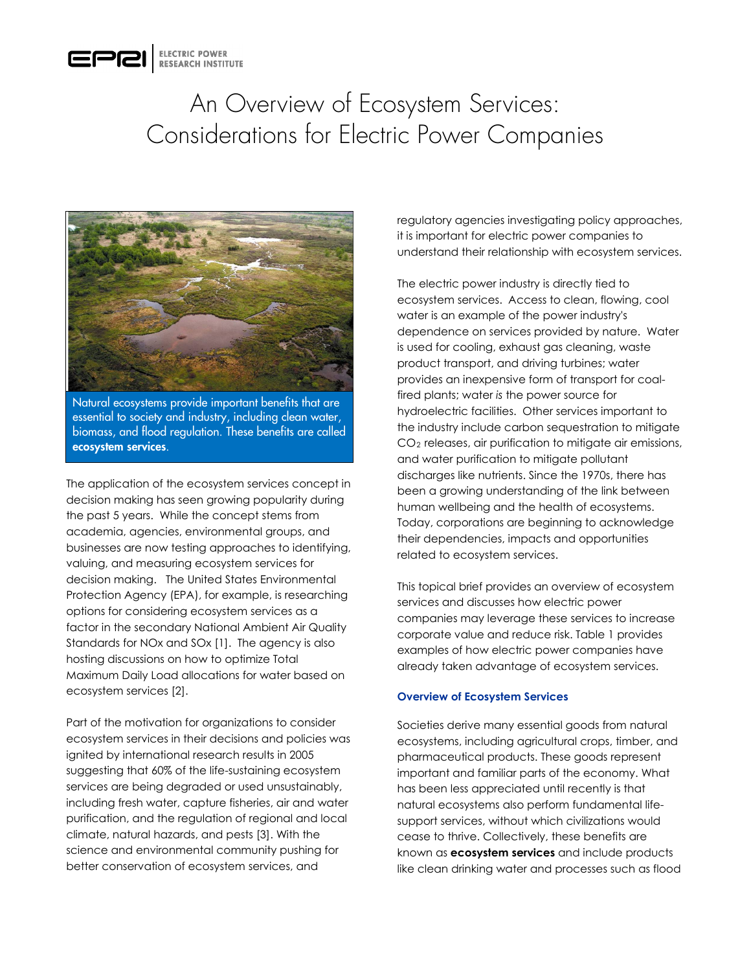

# An Overview of Ecosystem Services: Considerations for Electric Power Companies



Natural ecosystems provide important benefits that are essential to society and industry, including clean water, biomass, and flood regulation. These benefits are called ecosystem services.

The application of the ecosystem services concept in decision making has seen growing popularity during the past 5 years. While the concept stems from academia, agencies, environmental groups, and businesses are now testing approaches to identifying, valuing, and measuring ecosystem services for decision making. The United States Environmental Protection Agency (EPA), for example, is researching options for considering ecosystem services as a factor in the secondary National Ambient Air Quality Standards for NOx and SOx [1]. The agency is also hosting discussions on how to optimize Total Maximum Daily Load allocations for water based on ecosystem services [2].

Part of the motivation for organizations to consider ecosystem services in their decisions and policies was ignited by international research results in 2005 suggesting that 60% of the life-sustaining ecosystem services are being degraded or used unsustainably, including fresh water, capture fisheries, air and water purification, and the regulation of regional and local climate, natural hazards, and pests [3]. With the science and environmental community pushing for better conservation of ecosystem services, and

regulatory agencies investigating policy approaches, it is important for electric power companies to understand their relationship with ecosystem services.

The electric power industry is directly tied to ecosystem services. Access to clean, flowing, cool water is an example of the power industry's dependence on services provided by nature. Water is used for cooling, exhaust gas cleaning, waste product transport, and driving turbines; water provides an inexpensive form of transport for coalfired plants; water *is* the power source for hydroelectric facilities. Other services important to the industry include carbon sequestration to mitigate CO2 releases, air purification to mitigate air emissions, and water purification to mitigate pollutant discharges like nutrients. Since the 1970s, there has been a growing understanding of the link between human wellbeing and the health of ecosystems. Today, corporations are beginning to acknowledge their dependencies, impacts and opportunities related to ecosystem services.

This topical brief provides an overview of ecosystem services and discusses how electric power companies may leverage these services to increase corporate value and reduce risk. Table 1 provides examples of how electric power companies have already taken advantage of ecosystem services.

#### **Overview of Ecosystem Services**

Societies derive many essential goods from natural ecosystems, including agricultural crops, timber, and pharmaceutical products. These goods represent important and familiar parts of the economy. What has been less appreciated until recently is that natural ecosystems also perform fundamental lifesupport services, without which civilizations would cease to thrive. Collectively, these benefits are known as **ecosystem services** and include products like clean drinking water and processes such as flood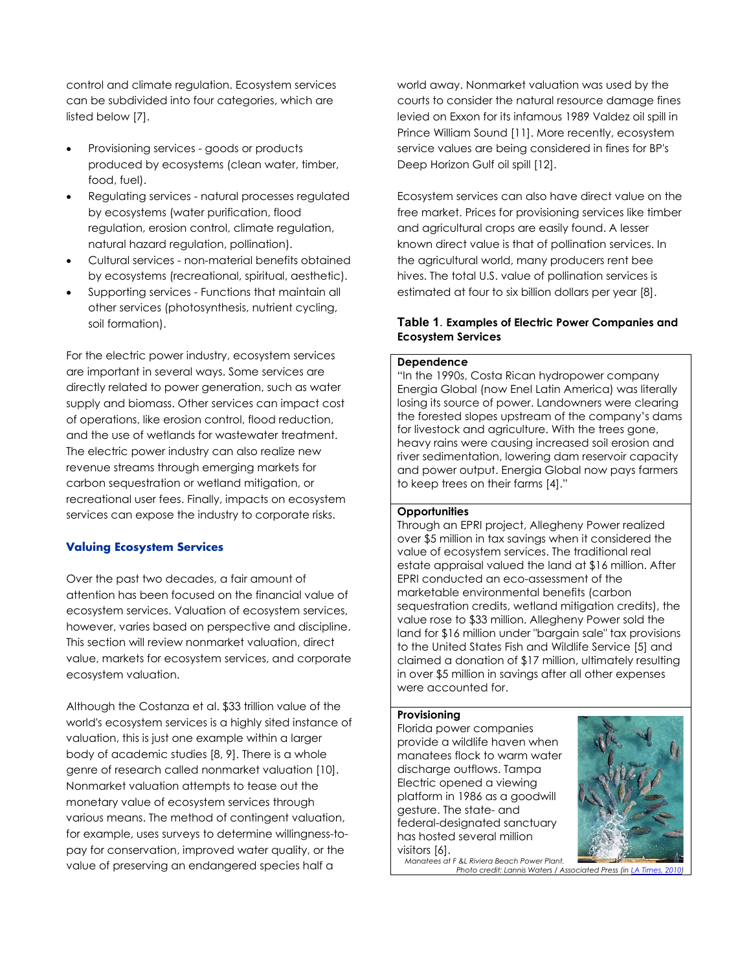control and climate regulation. Ecosystem services can be subdivided into four categories, which are listed below [7].

- Provisioning services goods or products produced by ecosystems (clean water, timber, food, fuel).
- Regulating services natural processes regulated by ecosystems (water purification, flood regulation, erosion control, climate regulation, natural hazard regulation, pollination).
- Cultural services non-material benefits obtained by ecosystems (recreational, spiritual, aesthetic).
- Supporting services Functions that maintain all other services (photosynthesis, nutrient cycling, soil formation).

For the electric power industry, ecosystem services are important in several ways. Some services are directly related to power generation, such as water supply and biomass. Other services can impact cost of operations, like erosion control, flood reduction, and the use of wetlands for wastewater treatment. The electric power industry can also realize new revenue streams through emerging markets for carbon sequestration or wetland mitigation, or recreational user fees. Finally, impacts on ecosystem services can expose the industry to corporate risks.

## **Valuing Ecosystem Services**

Over the past two decades, a fair amount of attention has been focused on the financial value of ecosystem services. Valuation of ecosystem services, however, varies based on perspective and discipline. This section will review nonmarket valuation, direct value, markets for ecosystem services, and corporate ecosystem valuation.

Although the Costanza et al. \$33 trillion value of the world's ecosystem services is a highly sited instance of valuation, this is just one example within a larger body of academic studies [8, 9]. There is a whole genre of research called nonmarket valuation [10]. Nonmarket valuation attempts to tease out the monetary value of ecosystem services through various means. The method of contingent valuation, for example, uses surveys to determine willingness-topay for conservation, improved water quality, or the value of preserving an endangered species half a

world away. Nonmarket valuation was used by the courts to consider the natural resource damage fines levied on Exxon for its infamous 1989 Valdez oil spill in Prince William Sound [11]. More recently, ecosystem service values are being considered in fines for BP's Deep Horizon Gulf oil spill [12].

Ecosystem services can also have direct value on the free market. Prices for provisioning services like timber and agricultural crops are easily found. A lesser known direct value is that of pollination services. In the agricultural world, many producers rent bee hives. The total U.S. value of pollination services is estimated at four to six billion dollars per year [8].

## **Table 1**. **Examples of Electric Power Companies and Ecosystem Services**

#### **Dependence**

"In the 1990s, Costa Rican hydropower company Energia Global (now Enel Latin America) was literally losing its source of power. Landowners were clearing the forested slopes upstream of the company's dams for livestock and agriculture. With the trees gone, heavy rains were causing increased soil erosion and river sedimentation, lowering dam reservoir capacity and power output. Energia Global now pays farmers to keep trees on their farms [4]."

#### **Opportunities**

Through an EPRI project, Allegheny Power realized over \$5 million in tax savings when it considered the value of ecosystem services. The traditional real estate appraisal valued the land at \$16 million. After EPRI conducted an eco-assessment of the marketable environmental benefits (carbon sequestration credits, wetland mitigation credits), the value rose to \$33 million. Allegheny Power sold the land for \$16 million under "bargain sale" tax provisions to the United States Fish and Wildlife Service [5] and claimed a donation of \$17 million, ultimately resulting in over \$5 million in savings after all other expenses were accounted for.

#### **Provisioning**

Florida power companies provide a wildlife haven when manatees flock to warm water discharge outflows. Tampa Electric opened a viewing platform in 1986 as a goodwill gesture. The state- and federal-designated sanctuary has hosted several million visitors [6].



*Manatees at F &L Riviera Beach Power Plant. Photo credit: Lannis Waters / Associated Press (in*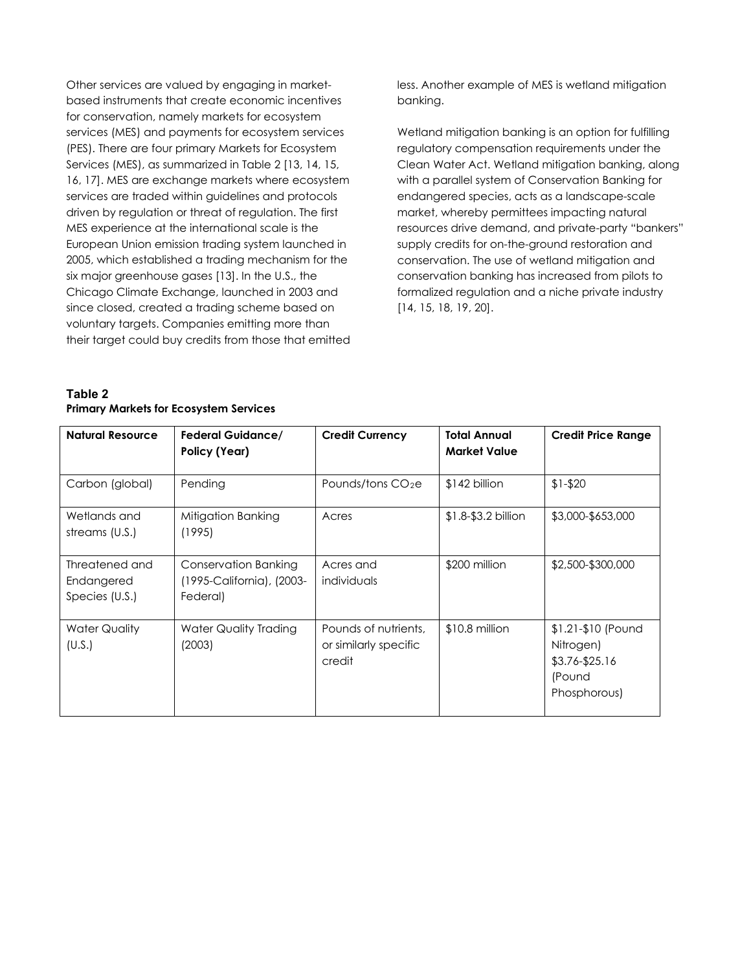Other services are valued by engaging in marketbased instruments that create economic incentives for conservation, namely markets for ecosystem services (MES) and payments for ecosystem services (PES). There are four primary Markets for Ecosystem Services (MES), as summarized in Table 2 [13, 14, 15, 16, 17]. MES are exchange markets where ecosystem services are traded within guidelines and protocols driven by regulation or threat of regulation. The first MES experience at the international scale is the European Union emission trading system launched in 2005, which established a trading mechanism for the six major greenhouse gases [13]. In the U.S., the Chicago Climate Exchange, launched in 2003 and since closed, created a trading scheme based on voluntary targets. Companies emitting more than their target could buy credits from those that emitted less. Another example of MES is wetland mitigation banking.

Wetland mitigation banking is an option for fulfilling regulatory compensation requirements under the Clean Water Act. Wetland mitigation banking, along with a parallel system of Conservation Banking for endangered species, acts as a landscape-scale market, whereby permittees impacting natural resources drive demand, and private-party "bankers" supply credits for on-the-ground restoration and conservation. The use of wetland mitigation and conservation banking has increased from pilots to formalized regulation and a niche private industry [14, 15, 18, 19, 20].

| <b>Natural Resource</b>                        | <b>Federal Guidance/</b><br>Policy (Year)                            | <b>Credit Currency</b>                                  | <b>Total Annual</b><br><b>Market Value</b> | <b>Credit Price Range</b>                                                   |
|------------------------------------------------|----------------------------------------------------------------------|---------------------------------------------------------|--------------------------------------------|-----------------------------------------------------------------------------|
| Carbon (global)                                | Pending                                                              | Pounds/tons $CO2e$                                      | $$142$ billion                             | $$1-$20$                                                                    |
| Wetlands and<br>streams (U.S.)                 | Mitigation Banking<br>(1995)                                         | Acres                                                   | $$1.8-$3.2 billion$                        | \$3,000-\$653,000                                                           |
| Threatened and<br>Endangered<br>Species (U.S.) | <b>Conservation Banking</b><br>(1995-California), (2003-<br>Federal) | Acres and<br>individuals                                | \$200 million                              | \$2,500-\$300,000                                                           |
| <b>Water Quality</b><br>(U.S.)                 | Water Quality Trading<br>(2003)                                      | Pounds of nutrients,<br>or similarly specific<br>credit | $$10.8$ million                            | \$1.21-\$10 (Pound<br>Nitrogen)<br>\$3.76-\$25.16<br>(Pound<br>Phosphorous) |

# **Table 2 Primary Markets for Ecosystem Services**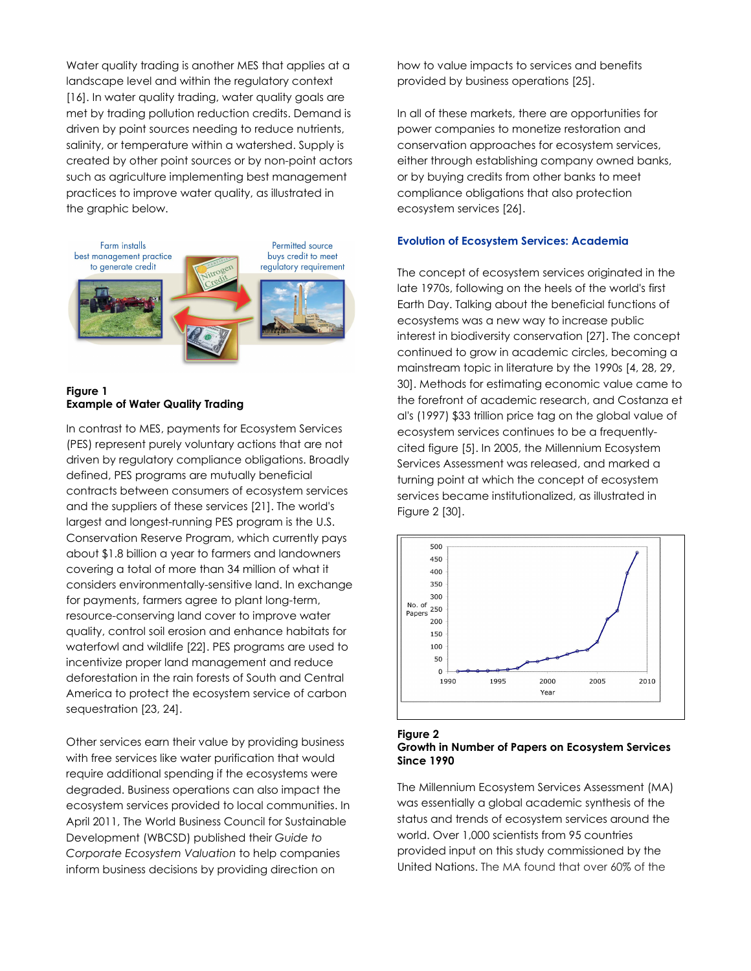Water quality trading is another MES that applies at a landscape level and within the regulatory context [16]. In water quality trading, water quality goals are met by trading pollution reduction credits. Demand is driven by point sources needing to reduce nutrients, salinity, or temperature within a watershed. Supply is created by other point sources or by non-point actors such as agriculture implementing best management practices to improve water quality, as illustrated in the graphic below.



# **Figure 1 Example of Water Quality Trading**

In contrast to MES, payments for Ecosystem Services (PES) represent purely voluntary actions that are not driven by regulatory compliance obligations. Broadly defined, PES programs are mutually beneficial contracts between consumers of ecosystem services and the suppliers of these services [21]. The world's largest and longest-running PES program is the U.S. Conservation Reserve Program, which currently pays about \$1.8 billion a year to farmers and landowners covering a total of more than 34 million of what it considers environmentally-sensitive land. In exchange for payments, farmers agree to plant long-term, resource-conserving land cover to improve water quality, control soil erosion and enhance habitats for waterfowl and wildlife [22]. PES programs are used to incentivize proper land management and reduce deforestation in the rain forests of South and Central America to protect the ecosystem service of carbon sequestration [23, 24].

Other services earn their value by providing business with free services like water purification that would require additional spending if the ecosystems were degraded. Business operations can also impact the ecosystem services provided to local communities. In April 2011, The World Business Council for Sustainable Development (WBCSD) published their *Guide to Corporate Ecosystem Valuation* to help companies inform business decisions by providing direction on

how to value impacts to services and benefits provided by business operations [25].

In all of these markets, there are opportunities for power companies to monetize restoration and conservation approaches for ecosystem services, either through establishing company owned banks, or by buying credits from other banks to meet compliance obligations that also protection ecosystem services [26].

## **Evolution of Ecosystem Services: Academia**

The concept of ecosystem services originated in the late 1970s, following on the heels of the world's first Earth Day. Talking about the beneficial functions of ecosystems was a new way to increase public interest in biodiversity conservation [27]. The concept continued to grow in academic circles, becoming a mainstream topic in literature by the 1990s [4, 28, 29, 30]. Methods for estimating economic value came to the forefront of academic research, and Costanza et al's (1997) \$33 trillion price tag on the global value of ecosystem services continues to be a frequentlycited figure [5]. In 2005, the Millennium Ecosystem Services Assessment was released, and marked a turning point at which the concept of ecosystem services became institutionalized, as illustrated in [Figure 2](#page-3-0) [30].



#### <span id="page-3-0"></span>**Figure 2 Growth in Number of Papers on Ecosystem Services Since 1990**

The Millennium Ecosystem Services Assessment (MA) was essentially a global academic synthesis of the status and trends of ecosystem services around the world. Over 1,000 scientists from 95 countries provided input on this study commissioned by the United Nations. The MA found that over 60% of the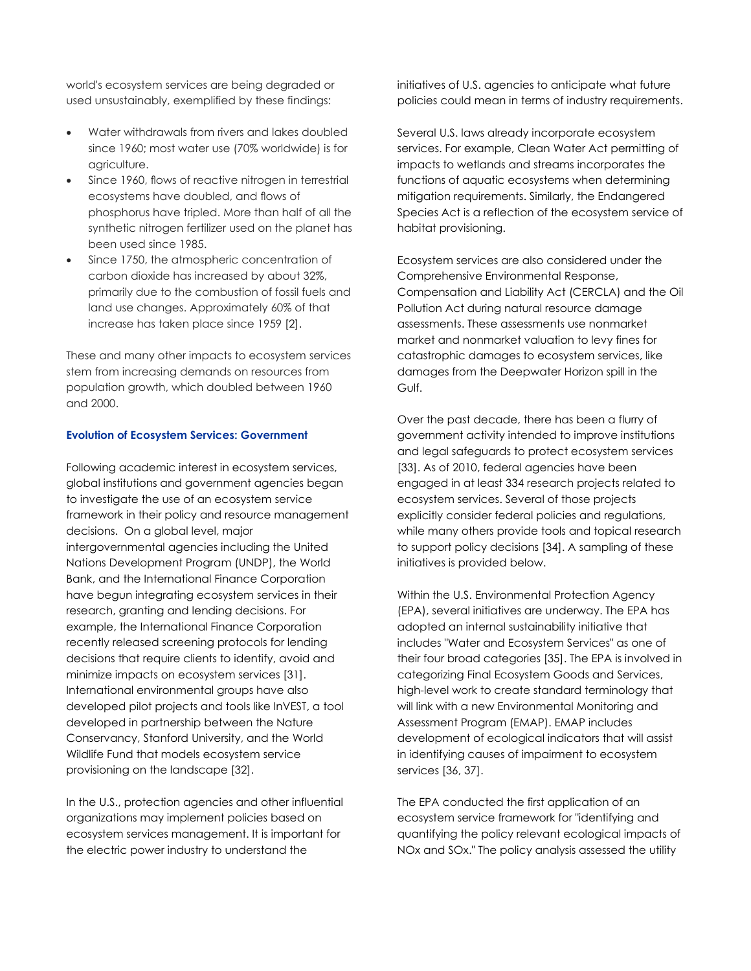world's ecosystem services are being degraded or used unsustainably, exemplified by these findings:

- Water withdrawals from rivers and lakes doubled since 1960; most water use (70% worldwide) is for agriculture.
- Since 1960, flows of reactive nitrogen in terrestrial ecosystems have doubled, and flows of phosphorus have tripled. More than half of all the synthetic nitrogen fertilizer used on the planet has been used since 1985.
- Since 1750, the atmospheric concentration of carbon dioxide has increased by about 32%, primarily due to the combustion of fossil fuels and land use changes. Approximately 60% of that increase has taken place since 1959 [2].

These and many other impacts to ecosystem services stem from increasing demands on resources from population growth, which doubled between 1960 and 2000.

#### **Evolution of Ecosystem Services: Government**

Following academic interest in ecosystem services, global institutions and government agencies began to investigate the use of an ecosystem service framework in their policy and resource management decisions. On a global level, major intergovernmental agencies including the United Nations Development Program (UNDP), the World Bank, and the International Finance Corporation have begun integrating ecosystem services in their research, granting and lending decisions. For example, the International Finance Corporation recently released screening protocols for lending decisions that require clients to identify, avoid and minimize impacts on ecosystem services [31]. International environmental groups have also developed pilot projects and tools like InVEST, a tool developed in partnership between the Nature Conservancy, Stanford University, and the World Wildlife Fund that models ecosystem service provisioning on the landscape [32].

In the U.S., protection agencies and other influential organizations may implement policies based on ecosystem services management. It is important for the electric power industry to understand the

initiatives of U.S. agencies to anticipate what future policies could mean in terms of industry requirements.

Several U.S. laws already incorporate ecosystem services. For example, Clean Water Act permitting of impacts to wetlands and streams incorporates the functions of aquatic ecosystems when determining mitigation requirements. Similarly, the Endangered Species Act is a reflection of the ecosystem service of habitat provisioning.

Ecosystem services are also considered under the Comprehensive Environmental Response, Compensation and Liability Act (CERCLA) and the Oil Pollution Act during natural resource damage assessments. These assessments use nonmarket market and nonmarket valuation to levy fines for catastrophic damages to ecosystem services, like damages from the Deepwater Horizon spill in the Gulf.

Over the past decade, there has been a flurry of government activity intended to improve institutions and legal safeguards to protect ecosystem services [33]. As of 2010, federal agencies have been engaged in at least 334 research projects related to ecosystem services. Several of those projects explicitly consider federal policies and regulations, while many others provide tools and topical research to support policy decisions [34]. A sampling of these initiatives is provided below.

Within the U.S. Environmental Protection Agency (EPA), several initiatives are underway. The EPA has adopted an internal sustainability initiative that includes "Water and Ecosystem Services" as one of their four broad categories [35]. The EPA is involved in categorizing Final Ecosystem Goods and Services, high-level work to create standard terminology that will link with a new Environmental Monitoring and Assessment Program (EMAP). EMAP includes development of ecological indicators that will assist in identifying causes of impairment to ecosystem services [36, 37].

The EPA conducted the first application of an ecosystem service framework for "identifying and quantifying the policy relevant ecological impacts of NOx and SOx." The policy analysis assessed the utility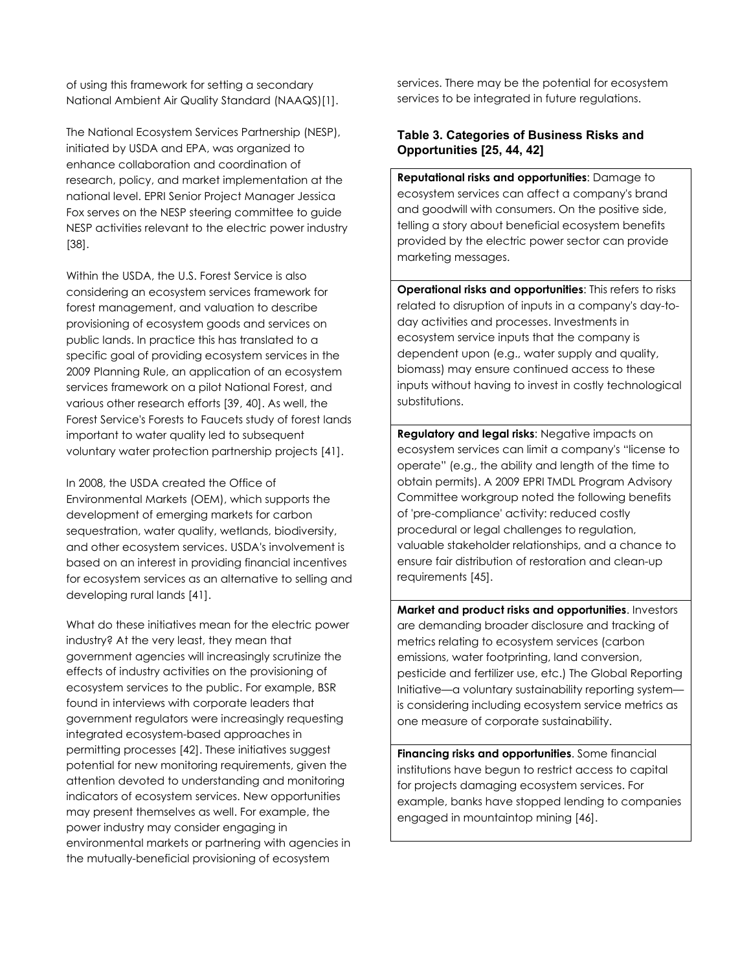of using this framework for setting a secondary National Ambient Air Quality Standard (NAAQS)[1].

The National Ecosystem Services Partnership (NESP), initiated by USDA and EPA, was organized to enhance collaboration and coordination of research, policy, and market implementation at the national level. EPRI Senior Project Manager Jessica Fox serves on the NESP steering committee to guide NESP activities relevant to the electric power industry [38].

Within the USDA, the U.S. Forest Service is also considering an ecosystem services framework for forest management, and valuation to describe provisioning of ecosystem goods and services on public lands. In practice this has translated to a specific goal of providing ecosystem services in the 2009 Planning Rule, an application of an ecosystem services framework on a pilot National Forest, and various other research efforts [39, 40]. As well, the Forest Service's Forests to Faucets study of forest lands important to water quality led to subsequent voluntary water protection partnership projects [41].

In 2008, the USDA created the Office of Environmental Markets (OEM), which supports the development of emerging markets for carbon sequestration, water quality, wetlands, biodiversity, and other ecosystem services. USDA's involvement is based on an interest in providing financial incentives for ecosystem services as an alternative to selling and developing rural lands [41].

What do these initiatives mean for the electric power industry? At the very least, they mean that government agencies will increasingly scrutinize the effects of industry activities on the provisioning of ecosystem services to the public. For example, BSR found in interviews with corporate leaders that government regulators were increasingly requesting integrated ecosystem-based approaches in permitting processes [42]. These initiatives suggest potential for new monitoring requirements, given the attention devoted to understanding and monitoring indicators of ecosystem services. New opportunities may present themselves as well. For example, the power industry may consider engaging in environmental markets or partnering with agencies in the mutually-beneficial provisioning of ecosystem

services. There may be the potential for ecosystem services to be integrated in future regulations.

# **Table 3. Categories of Business Risks and Opportunities [25, 44, 42]**

**Reputational risks and opportunities**: Damage to ecosystem services can affect a company's brand and goodwill with consumers. On the positive side, telling a story about beneficial ecosystem benefits provided by the electric power sector can provide marketing messages.

**Operational risks and opportunities**: This refers to risks related to disruption of inputs in a company's day-today activities and processes. Investments in ecosystem service inputs that the company is dependent upon (e.g., water supply and quality, biomass) may ensure continued access to these inputs without having to invest in costly technological substitutions.

**Regulatory and legal risks**: Negative impacts on ecosystem services can limit a company's "license to operate" (e.g., the ability and length of the time to obtain permits). A 2009 EPRI TMDL Program Advisory Committee workgroup noted the following benefits of 'pre-compliance' activity: reduced costly procedural or legal challenges to regulation, valuable stakeholder relationships, and a chance to ensure fair distribution of restoration and clean-up requirements [45].

**Market and product risks and opportunities**. Investors are demanding broader disclosure and tracking of metrics relating to ecosystem services (carbon emissions, water footprinting, land conversion, pesticide and fertilizer use, etc.) The Global Reporting Initiative—a voluntary sustainability reporting system is considering including ecosystem service metrics as one measure of corporate sustainability.

**Financing risks and opportunities**. Some financial institutions have begun to restrict access to capital for projects damaging ecosystem services. For example, banks have stopped lending to companies engaged in mountaintop mining [46].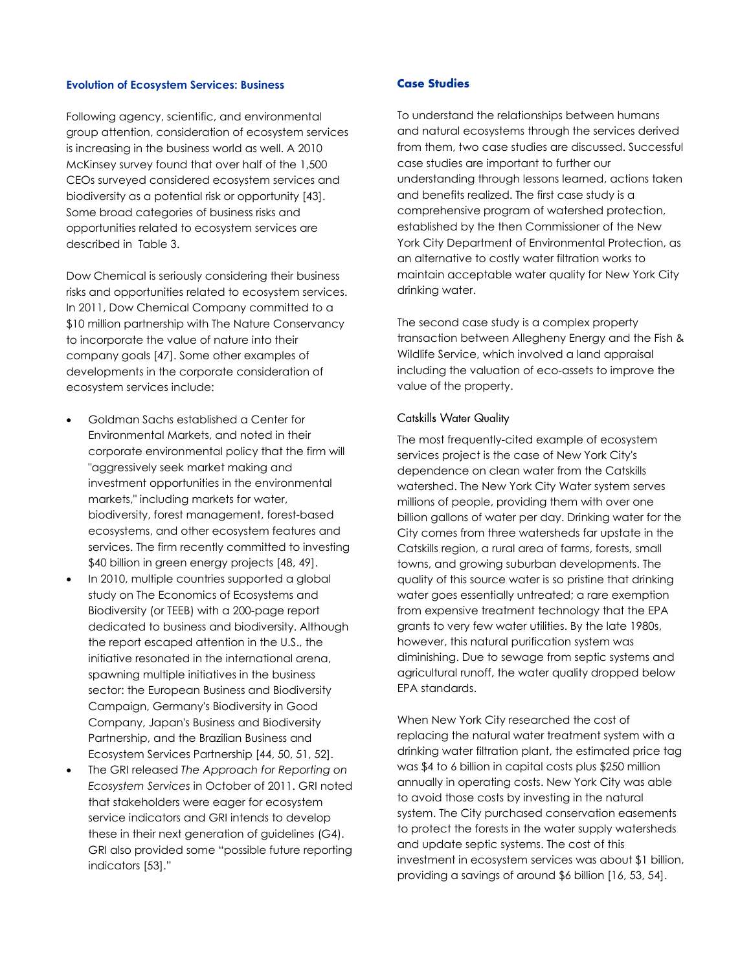#### **Evolution of Ecosystem Services: Business**

Following agency, scientific, and environmental group attention, consideration of ecosystem services is increasing in the business world as well. A 2010 McKinsey survey found that over half of the 1,500 CEOs surveyed considered ecosystem services and biodiversity as a potential risk or opportunity [43]. Some broad categories of business risks and opportunities related to ecosystem services are described in Table 3.

Dow Chemical is seriously considering their business risks and opportunities related to ecosystem services. In 2011, Dow Chemical Company committed to a \$10 million partnership with The Nature Conservancy to incorporate the value of nature into their company goals [47]. Some other examples of developments in the corporate consideration of ecosystem services include:

- Goldman Sachs established a Center for Environmental Markets, and noted in their corporate environmental policy that the firm will "aggressively seek market making and investment opportunities in the environmental markets," including markets for water, biodiversity, forest management, forest-based ecosystems, and other ecosystem features and services. The firm recently committed to investing \$40 billion in green energy projects [48, 49].
- In 2010, multiple countries supported a global study on The Economics of Ecosystems and Biodiversity (or TEEB) with a 200-page report dedicated to business and biodiversity. Although the report escaped attention in the U.S., the initiative resonated in the international arena, spawning multiple initiatives in the business sector: the European Business and Biodiversity Campaign, Germany's Biodiversity in Good Company, Japan's Business and Biodiversity Partnership, and the Brazilian Business and Ecosystem Services Partnership [44, 50, 51, 52].
- The GRI released *The Approach for Reporting on Ecosystem Services* in October of 2011. GRI noted that stakeholders were eager for ecosystem service indicators and GRI intends to develop these in their next generation of guidelines (G4). GRI also provided some "possible future reporting indicators [53]."

## **Case Studies**

To understand the relationships between humans and natural ecosystems through the services derived from them, two case studies are discussed. Successful case studies are important to further our understanding through lessons learned, actions taken and benefits realized. The first case study is a comprehensive program of watershed protection, established by the then Commissioner of the New York City Department of Environmental Protection, as an alternative to costly water filtration works to maintain acceptable water quality for New York City drinking water.

The second case study is a complex property transaction between Allegheny Energy and the Fish & Wildlife Service, which involved a land appraisal including the valuation of eco-assets to improve the value of the property.

#### Catskills Water Quality

The most frequently-cited example of ecosystem services project is the case of New York City's dependence on clean water from the Catskills watershed. The New York City Water system serves millions of people, providing them with over one billion gallons of water per day. Drinking water for the City comes from three watersheds far upstate in the Catskills region, a rural area of farms, forests, small towns, and growing suburban developments. The quality of this source water is so pristine that drinking water goes essentially untreated; a rare exemption from expensive treatment technology that the EPA grants to very few water utilities. By the late 1980s, however, this natural purification system was diminishing. Due to sewage from septic systems and agricultural runoff, the water quality dropped below EPA standards.

When New York City researched the cost of replacing the natural water treatment system with a drinking water filtration plant, the estimated price tag was \$4 to 6 billion in capital costs plus \$250 million annually in operating costs. New York City was able to avoid those costs by investing in the natural system. The City purchased conservation easements to protect the forests in the water supply watersheds and update septic systems. The cost of this investment in ecosystem services was about \$1 billion, providing a savings of around \$6 billion [16, 53, 54].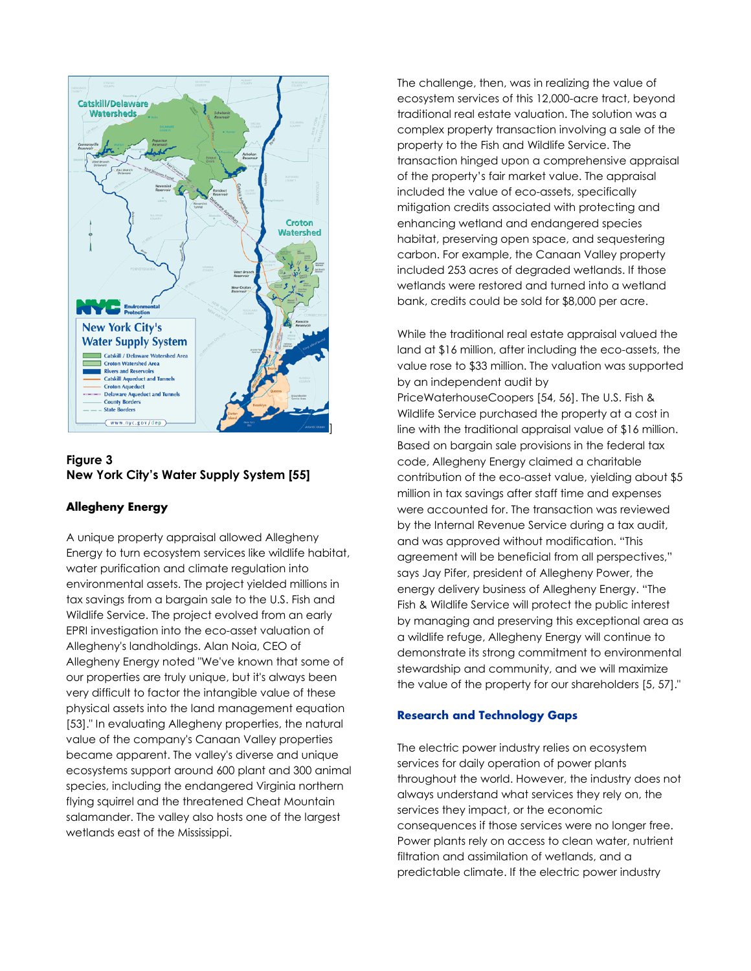

**Figure 3 New York City's Water Supply System [55]**

## **Allegheny Energy**

A unique property appraisal allowed Allegheny Energy to turn ecosystem services like wildlife habitat, water purification and climate regulation into environmental assets. The project yielded millions in tax savings from a bargain sale to the U.S. Fish and Wildlife Service. The project evolved from an early EPRI investigation into the eco-asset valuation of Allegheny's landholdings. Alan Noia, CEO of Allegheny Energy noted "We've known that some of our properties are truly unique, but it's always been very difficult to factor the intangible value of these physical assets into the land management equation [53]." In evaluating Allegheny properties, the natural value of the company's Canaan Valley properties became apparent. The valley's diverse and unique ecosystems support around 600 plant and 300 animal species, including the endangered Virginia northern flying squirrel and the threatened Cheat Mountain salamander. The valley also hosts one of the largest wetlands east of the Mississippi.

The challenge, then, was in realizing the value of ecosystem services of this 12,000-acre tract, beyond traditional real estate valuation. The solution was a complex property transaction involving a sale of the property to the Fish and Wildlife Service. The transaction hinged upon a comprehensive appraisal of the property's fair market value. The appraisal included the value of eco-assets, specifically mitigation credits associated with protecting and enhancing wetland and endangered species habitat, preserving open space, and sequestering carbon. For example, the Canaan Valley property included 253 acres of degraded wetlands. If those wetlands were restored and turned into a wetland bank, credits could be sold for \$8,000 per acre.

While the traditional real estate appraisal valued the land at \$16 million, after including the eco-assets, the value rose to \$33 million. The valuation was supported by an independent audit by PriceWaterhouseCoopers [54, 56]. The U.S. Fish & Wildlife Service purchased the property at a cost in line with the traditional appraisal value of \$16 million. Based on bargain sale provisions in the federal tax code, Allegheny Energy claimed a charitable contribution of the eco-asset value, yielding about \$5 million in tax savings after staff time and expenses were accounted for. The transaction was reviewed by the Internal Revenue Service during a tax audit, and was approved without modification. "This agreement will be beneficial from all perspectives," says Jay Pifer, president of Allegheny Power, the energy delivery business of Allegheny Energy. "The Fish & Wildlife Service will protect the public interest by managing and preserving this exceptional area as a wildlife refuge, Allegheny Energy will continue to demonstrate its strong commitment to environmental stewardship and community, and we will maximize the value of the property for our shareholders [5, 57]."

## **Research and Technology Gaps**

The electric power industry relies on ecosystem services for daily operation of power plants throughout the world. However, the industry does not always understand what services they rely on, the services they impact, or the economic consequences if those services were no longer free. Power plants rely on access to clean water, nutrient filtration and assimilation of wetlands, and a predictable climate. If the electric power industry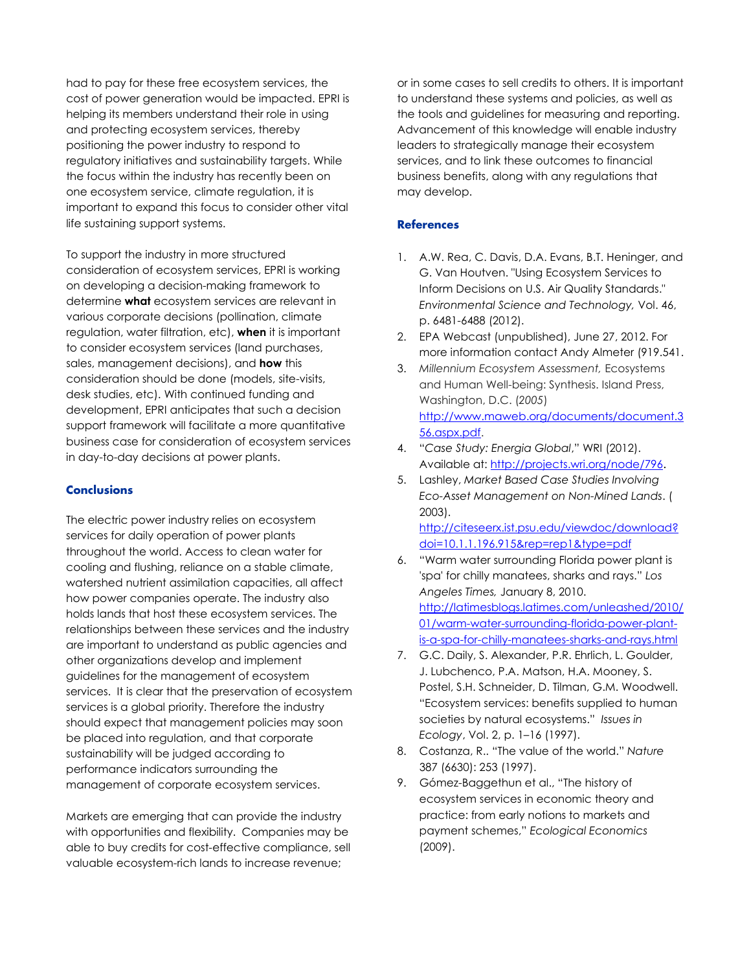had to pay for these free ecosystem services, the cost of power generation would be impacted. EPRI is helping its members understand their role in using and protecting ecosystem services, thereby positioning the power industry to respond to regulatory initiatives and sustainability targets. While the focus within the industry has recently been on one ecosystem service, climate regulation, it is important to expand this focus to consider other vital life sustaining support systems.

To support the industry in more structured consideration of ecosystem services, EPRI is working on developing a decision-making framework to determine **what** ecosystem services are relevant in various corporate decisions (pollination, climate regulation, water filtration, etc), **when** it is important to consider ecosystem services (land purchases, sales, management decisions), and **how** this consideration should be done (models, site-visits, desk studies, etc). With continued funding and development, EPRI anticipates that such a decision support framework will facilitate a more quantitative business case for consideration of ecosystem services in day-to-day decisions at power plants.

#### **Conclusions**

The electric power industry relies on ecosystem services for daily operation of power plants throughout the world. Access to clean water for cooling and flushing, reliance on a stable climate, watershed nutrient assimilation capacities, all affect how power companies operate. The industry also holds lands that host these ecosystem services. The relationships between these services and the industry are important to understand as public agencies and other organizations develop and implement guidelines for the management of ecosystem services. It is clear that the preservation of ecosystem services is a global priority. Therefore the industry should expect that management policies may soon be placed into regulation, and that corporate sustainability will be judged according to performance indicators surrounding the management of corporate ecosystem services.

Markets are emerging that can provide the industry with opportunities and flexibility. Companies may be able to buy credits for cost-effective compliance, sell valuable ecosystem-rich lands to increase revenue;

or in some cases to sell credits to others. It is important to understand these systems and policies, as well as the tools and guidelines for measuring and reporting. Advancement of this knowledge will enable industry leaders to strategically manage their ecosystem services, and to link these outcomes to financial business benefits, along with any regulations that may develop.

#### **References**

- 1. A.W. Rea, C. Davis, D.A. Evans, B.T. Heninger, and G. Van Houtven. "Using Ecosystem Services to Inform Decisions on U.S. Air Quality Standards." *Environmental Science and Technology,* Vol. 46, p. 6481-6488 (2012).
- 2. EPA Webcast (unpublished), June 27, 2012. For more information contact Andy Almeter (919.541.
- 3. *Millennium Ecosystem Assessment,* Ecosystems and Human Well-being: Synthesis. Island Press, Washington, D.C. (*2005*) [http://www.maweb.org/documents/document.3](http://www.maweb.org/documents/document.356.aspx.pdf) [56.aspx.pdf.](http://www.maweb.org/documents/document.356.aspx.pdf)
- 4. "*Case Study: Energia Global*," WRI (2012). Available at: [http://projects.wri.org/node/796.](http://projects.wri.org/node/796)
- 5. Lashley, *Market Based Case Studies Involving Eco-Asset Management on Non-Mined Lands*. ( 2003).

[http://citeseerx.ist.psu.edu/viewdoc/download?](http://citeseerx.ist.psu.edu/viewdoc/download?doi=10.1.1.196.915&rep=rep1&type=pdf) [doi=10.1.1.196.915&rep=rep1&type=pdf](http://citeseerx.ist.psu.edu/viewdoc/download?doi=10.1.1.196.915&rep=rep1&type=pdf)

- 6. "Warm water surrounding Florida power plant is 'spa' for chilly manatees, sharks and rays." *Los Angeles Times,* January 8, 2010. [http://latimesblogs.latimes.com/unleashed/2010/](http://latimesblogs.latimes.com/unleashed/2010/01/warm-water-surrounding-florida-power-plant-is-a-spa-for-chilly-manatees-sharks-and-rays.html) [01/warm-water-surrounding-florida-power-plant](http://latimesblogs.latimes.com/unleashed/2010/01/warm-water-surrounding-florida-power-plant-is-a-spa-for-chilly-manatees-sharks-and-rays.html)[is-a-spa-for-chilly-manatees-sharks-and-rays.html](http://latimesblogs.latimes.com/unleashed/2010/01/warm-water-surrounding-florida-power-plant-is-a-spa-for-chilly-manatees-sharks-and-rays.html)
- 7. G.C. Daily, S. Alexander, P.R. Ehrlich, L. Goulder, J. Lubchenco, P.A. Matson, H.A. Mooney, S. Postel, S.H. Schneider, D. Tilman, G.M. Woodwell. "Ecosystem services: benefits supplied to human societies by natural ecosystems." *Issues in Ecology*, Vol. 2, p. 1–16 (1997).
- 8. Costanza, R.. "The value of the world." *Nature* 387 (6630): 253 (1997).
- 9. Gómez-Baggethun et al., "The history of ecosystem services in economic theory and practice: from early notions to markets and payment schemes," *Ecological Economics* (2009).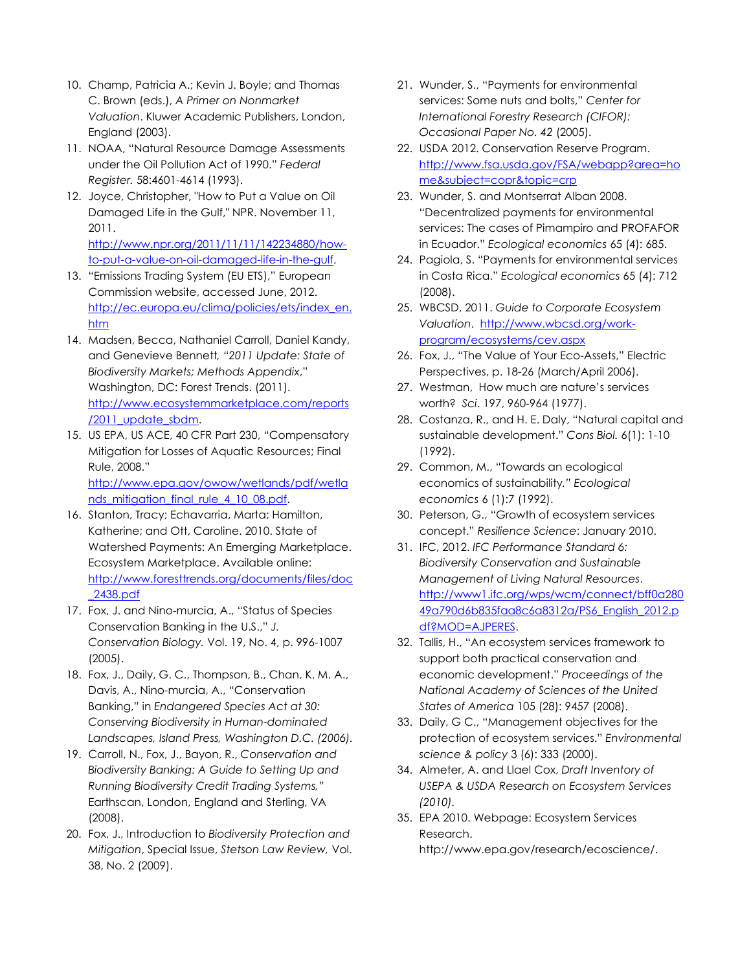- 10. Champ, Patricia A.; Kevin J. Boyle; and Thomas C. Brown (eds.), *A Primer on Nonmarket Valuation*. Kluwer Academic Publishers, London, England (2003).
- 11. NOAA, "Natural Resource Damage Assessments under the Oil Pollution Act of 1990." *Federal Register.* 58:4601-4614 (1993).
- 12. Joyce, Christopher, "How to Put a Value on Oil Damaged Life in the Gulf," NPR. November 11, 2011. [http://www.npr.org/2011/11/11/142234880/how-](http://www.npr.org/2011/11/11/142234880/how-to-put-a-value-on-oil-damaged-life-in-the-gulf)

[to-put-a-value-on-oil-damaged-life-in-the-gulf.](http://www.npr.org/2011/11/11/142234880/how-to-put-a-value-on-oil-damaged-life-in-the-gulf)

- 13. "Emissions Trading System (EU ETS)," European Commission website, accessed June, 2012. [http://ec.europa.eu/clima/policies/ets/index\\_en.](http://ec.europa.eu/clima/policies/ets/index_en.htm) [htm](http://ec.europa.eu/clima/policies/ets/index_en.htm)
- 14. Madsen, Becca, Nathaniel Carroll, Daniel Kandy, and Genevieve Bennett*, "2011 Update: State of Biodiversity Markets; Methods Appendix*," Washington, DC: Forest Trends. (2011). [http://www.ecosystemmarketplace.com/reports](http://www.ecosystemmarketplace.com/reports/2011_update_sbdm) [/2011\\_update\\_sbdm.](http://www.ecosystemmarketplace.com/reports/2011_update_sbdm)
- 15. US EPA, US ACE, 40 CFR Part 230, "Compensatory Mitigation for Losses of Aquatic Resources; Final Rule, 2008." [http://www.epa.gov/owow/wetlands/pdf/wetla](http://www.epa.gov/owow/wetlands/pdf/wetlands_mitigation_final_rule_4_10_08.pdf) [nds\\_mitigation\\_final\\_rule\\_4\\_10\\_08.pdf.](http://www.epa.gov/owow/wetlands/pdf/wetlands_mitigation_final_rule_4_10_08.pdf)
- 16. Stanton, Tracy; Echavarria, Marta; Hamilton, Katherine; and Ott, Caroline. 2010. State of Watershed Payments: An Emerging Marketplace. Ecosystem Marketplace. Available online: [http://www.foresttrends.org/documents/files/doc](http://www.foresttrends.org/documents/files/doc_2438.pdf) [\\_2438.pdf](http://www.foresttrends.org/documents/files/doc_2438.pdf)
- 17. Fox, J. and Nino-murcia, A., "Status of Species Conservation Banking in the U.S.," *J. Conservation Biology.* Vol. 19, No. 4, p. 996-1007 (2005).
- 18. Fox, J., Daily, G. C., Thompson, B., Chan, K. M. A., Davis, A., Nino-murcia, A., "Conservation Banking," in *Endangered Species Act at 30: Conserving Biodiversity in Human-dominated Landscapes, Island Press, Washington D.C. (2006).*
- 19. Carroll, N., Fox, J., Bayon, R., *Conservation and Biodiversity Banking: A Guide to Setting Up and Running Biodiversity Credit Trading Systems,"*  Earthscan, London, England and Sterling, VA (2008).
- 20. Fox, J., Introduction to *Biodiversity Protection and Mitigation*, Special Issue, *Stetson Law Review,* Vol. 38, No. 2 (2009).
- 21. Wunder, S., "Payments for environmental services: Some nuts and bolts," *Center for International Forestry Research (CIFOR): Occasional Paper No. 42* (2005).
- 22. USDA 2012. Conservation Reserve Program. [http://www.fsa.usda.gov/FSA/webapp?area=ho](http://www.fsa.usda.gov/FSA/webapp?area=home&subject=copr&topic=crp) [me&subject=copr&topic=crp](http://www.fsa.usda.gov/FSA/webapp?area=home&subject=copr&topic=crp)
- 23. Wunder, S. and Montserrat Alban 2008. "Decentralized payments for environmental services: The cases of Pimampiro and PROFAFOR in Ecuador." *Ecological economics* 65 (4): 685.
- 24. Pagiola, S. "Payments for environmental services in Costa Rica." *Ecological economics* 65 (4): 712 (2008).
- 25. WBCSD, 2011. *Guide to Corporate Ecosystem Valuation*. [http://www.wbcsd.org/work](http://www.wbcsd.org/work-program/ecosystems/cev.aspx)[program/ecosystems/cev.aspx](http://www.wbcsd.org/work-program/ecosystems/cev.aspx)
- 26. Fox, J., "The Value of Your Eco-Assets," Electric Perspectives, p. 18-26 (March/April 2006).
- 27. Westman, How much are nature's services worth? *Sci*. 197, 960-964 (1977).
- 28. Costanza, R., and H. E. Daly, "Natural capital and sustainable development." *Cons Biol.* 6(1): 1-10 (1992).
- 29. Common, M., "Towards an ecological economics of sustainability*." Ecological economics* 6 (1):7 (1992).
- 30. Peterson, G., "Growth of ecosystem services concept." *Resilience Science*: January 2010.
- 31. IFC, 2012. *IFC Performance Standard 6: Biodiversity Conservation and Sustainable Management of Living Natural Resources*. [http://www1.ifc.org/wps/wcm/connect/bff0a280](http://www1.ifc.org/wps/wcm/connect/bff0a28049a790d6b835faa8c6a8312a/PS6_English_2012.pdf?MOD=AJPERES) [49a790d6b835faa8c6a8312a/PS6\\_English\\_2012.p](http://www1.ifc.org/wps/wcm/connect/bff0a28049a790d6b835faa8c6a8312a/PS6_English_2012.pdf?MOD=AJPERES) [df?MOD=AJPERES.](http://www1.ifc.org/wps/wcm/connect/bff0a28049a790d6b835faa8c6a8312a/PS6_English_2012.pdf?MOD=AJPERES)
- 32. Tallis, H., "An ecosystem services framework to support both practical conservation and economic development." *Proceedings of the National Academy of Sciences of the United States of America* 105 (28): 9457 (2008).
- 33. Daily, G C., "Management objectives for the protection of ecosystem services." *Environmental science & policy* 3 (6): 333 (2000).
- 34. Almeter, A. and Llael Cox, *Draft Inventory of USEPA & USDA Research on Ecosystem Services (2010).*
- 35. EPA 2010. Webpage: Ecosystem Services Research. http://www.epa.gov/research/ecoscience/.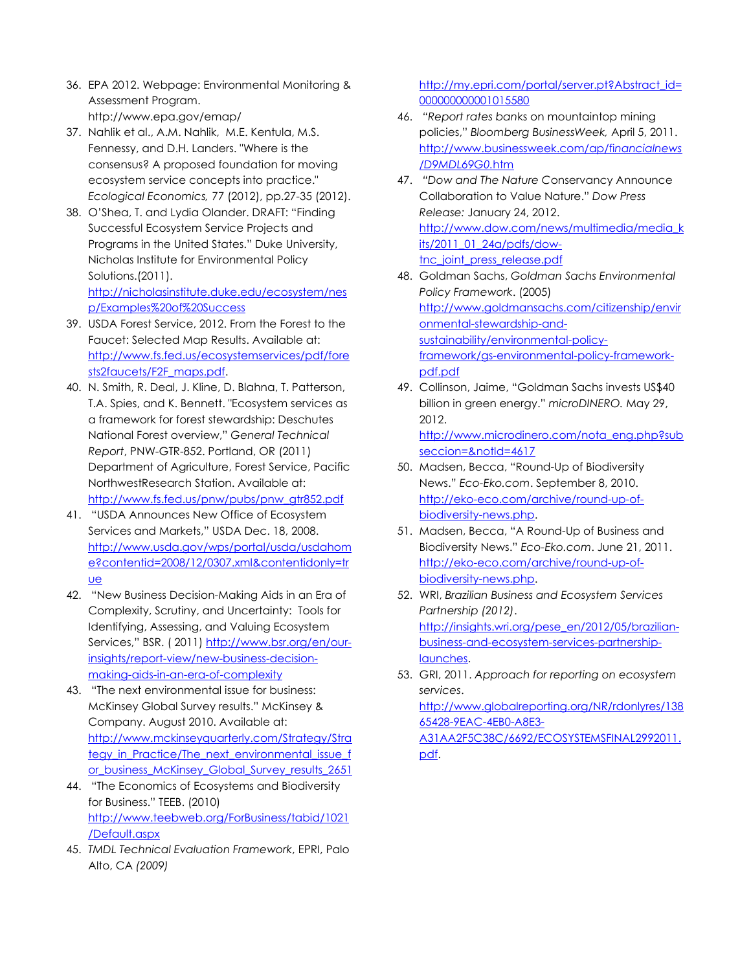- 36. EPA 2012. Webpage: Environmental Monitoring & Assessment Program. http://www.epa.gov/emap/
- 37. Nahlik et al., A.M. Nahlik, M.E. Kentula, M.S. Fennessy, and D.H. Landers. "Where is the consensus? A proposed foundation for moving ecosystem service concepts into practice." *Ecological Economics,* 77 (2012), pp.27-35 (2012).
- 38. O'Shea, T. and Lydia Olander. DRAFT: "Finding Successful Ecosystem Service Projects and Programs in the United States." Duke University, Nicholas Institute for Environmental Policy Solutions.(2011). [http://nicholasinstitute.duke.edu/ecosystem/nes](http://nicholasinstitute.duke.edu/ecosystem/nesp/Examples%20of%20Success) [p/Examples%20of%20Success](http://nicholasinstitute.duke.edu/ecosystem/nesp/Examples%20of%20Success)
- 39. USDA Forest Service, 2012. From the Forest to the Faucet: Selected Map Results. Available at: [http://www.fs.fed.us/ecosystemservices/pdf/fore](http://www.fs.fed.us/ecosystemservices/pdf/forests2faucets/F2F_maps.pdf) [sts2faucets/F2F\\_maps.pdf.](http://www.fs.fed.us/ecosystemservices/pdf/forests2faucets/F2F_maps.pdf)
- 40. N. Smith, R. Deal, J. Kline, D. Blahna, T. Patterson, T.A. Spies, and K. Bennett. "Ecosystem services as a framework for forest stewardship: Deschutes National Forest overview," *General Technical Report*, PNW-GTR-852. Portland, OR (2011) Department of Agriculture, Forest Service, Pacific NorthwestResearch Station. Available at: [http://www.fs.fed.us/pnw/pubs/pnw\\_gtr852.pdf](http://www.fs.fed.us/pnw/pubs/pnw_gtr852.pdf)
- 41. "USDA Announces New Office of Ecosystem Services and Markets," USDA Dec. 18, 2008. [http://www.usda.gov/wps/portal/usda/usdahom](http://www.usda.gov/wps/portal/usda/usdahome?contentid=2008/12/0307.xml&contentidonly=true) [e?contentid=2008/12/0307.xml&contentidonly=tr](http://www.usda.gov/wps/portal/usda/usdahome?contentid=2008/12/0307.xml&contentidonly=true) [ue](http://www.usda.gov/wps/portal/usda/usdahome?contentid=2008/12/0307.xml&contentidonly=true)
- 42. "New Business Decision-Making Aids in an Era of Complexity, Scrutiny, and Uncertainty: Tools for Identifying, Assessing, and Valuing Ecosystem Services," BSR. ( 2011) [http://www.bsr.org/en/our](http://www.bsr.org/en/our-insights/report-view/new-business-decision-making-aids-in-an-era-of-complexity)[insights/report-view/new-business-decision](http://www.bsr.org/en/our-insights/report-view/new-business-decision-making-aids-in-an-era-of-complexity)[making-aids-in-an-era-of-complexity](http://www.bsr.org/en/our-insights/report-view/new-business-decision-making-aids-in-an-era-of-complexity)
- 43. "The next environmental issue for business: McKinsey Global Survey results." McKinsey & Company. August 2010. Available at: [http://www.mckinseyquarterly.com/Strategy/Stra](http://www.mckinseyquarterly.com/Strategy/Strategy_in_Practice/The_next_environmental_issue_for_business_McKinsey_Global_Survey_results_2651) [tegy\\_in\\_Practice/The\\_next\\_environmental\\_issue\\_f](http://www.mckinseyquarterly.com/Strategy/Strategy_in_Practice/The_next_environmental_issue_for_business_McKinsey_Global_Survey_results_2651) [or\\_business\\_McKinsey\\_Global\\_Survey\\_results\\_2651](http://www.mckinseyquarterly.com/Strategy/Strategy_in_Practice/The_next_environmental_issue_for_business_McKinsey_Global_Survey_results_2651)
- 44. "The Economics of Ecosystems and Biodiversity for Business." TEEB. (2010) [http://www.teebweb.org/ForBusiness/tabid/1021](http://www.teebweb.org/ForBusiness/tabid/1021/Default.aspx) [/Default.aspx](http://www.teebweb.org/ForBusiness/tabid/1021/Default.aspx)
- 45. *TMDL Technical Evaluation Framework*, EPRI, Palo Alto, CA *(2009)*

[http://my.epri.com/portal/server.pt?Abstract\\_id=](http://my.epri.com/portal/server.pt?Abstract_id=000000000001015580) [000000000001015580](http://my.epri.com/portal/server.pt?Abstract_id=000000000001015580)

- 46. *"Report rates ban*ks on mountaintop mining policies," *Bloomberg BusinessWeek,* April 5, 2011. [http://www.businessweek.com/ap/fi](http://www.businessweek.com/ap/financialnews/D9MDL69G0.htm)*nancialnews [/D9MDL69G0.](http://www.businessweek.com/ap/financialnews/D9MDL69G0.htm)*htm
- 47. *"Dow and The Nature C*onservancy Announce Collaboration to Value Nature." *Dow Press Release:* January 24, 2012. [http://www.dow.com/news/multimedia/media\\_k](http://www.dow.com/news/multimedia/media_kits/2011_01_24a/pdfs/dow-tnc_joint_press_release.pdf) [its/2011\\_01\\_24a/pdfs/dow](http://www.dow.com/news/multimedia/media_kits/2011_01_24a/pdfs/dow-tnc_joint_press_release.pdf)[tnc\\_joint\\_press\\_release.pdf](http://www.dow.com/news/multimedia/media_kits/2011_01_24a/pdfs/dow-tnc_joint_press_release.pdf)
- 48. Goldman Sachs, *Goldman Sachs Environmental Policy Framework*. (2005) [http://www.goldmansachs.com/citizenship/envir](http://www.goldmansachs.com/citizenship/environmental-stewardship-and-sustainability/environmental-policy-framework/gs-environmental-policy-framework-pdf.pdf) [onmental-stewardship-and](http://www.goldmansachs.com/citizenship/environmental-stewardship-and-sustainability/environmental-policy-framework/gs-environmental-policy-framework-pdf.pdf)[sustainability/environmental-policy](http://www.goldmansachs.com/citizenship/environmental-stewardship-and-sustainability/environmental-policy-framework/gs-environmental-policy-framework-pdf.pdf)[framework/gs-environmental-policy-framework](http://www.goldmansachs.com/citizenship/environmental-stewardship-and-sustainability/environmental-policy-framework/gs-environmental-policy-framework-pdf.pdf)[pdf.pdf](http://www.goldmansachs.com/citizenship/environmental-stewardship-and-sustainability/environmental-policy-framework/gs-environmental-policy-framework-pdf.pdf)
- 49. Collinson, Jaime, "Goldman Sachs invests US\$40 billion in green energy." *microDINERO.* May 29, 2012. [http://www.microdinero.com/nota\\_eng.php?sub](http://www.microdinero.com/nota_eng.php?subseccion=¬Id=4617) [seccion=&notId=4617](http://www.microdinero.com/nota_eng.php?subseccion=¬Id=4617)
- 50. Madsen, Becca, "Round-Up of Biodiversity News." *Eco-Eko.com*. September 8, 2010. [http://eko-eco.com/archive/round-up-of](http://eko-eco.com/archive/round-up-of-biodiversity-news.php)[biodiversity-news.php.](http://eko-eco.com/archive/round-up-of-biodiversity-news.php)
- 51. Madsen, Becca, "A Round-Up of Business and Biodiversity News." *Eco-Eko.com*. June 21, 2011. [http://eko-eco.com/archive/round-up-of](http://eko-eco.com/archive/round-up-of-biodiversity-news.php)[biodiversity-news.php.](http://eko-eco.com/archive/round-up-of-biodiversity-news.php)
- 52. WRI, *Brazilian Business and Ecosystem Services Partnership (2012)*. [http://insights.wri.org/pese\\_en/2012/05/brazilian](http://insights.wri.org/pese_en/2012/05/brazilian-business-and-ecosystem-services-partnership-launches)[business-and-ecosystem-services-partnership](http://insights.wri.org/pese_en/2012/05/brazilian-business-and-ecosystem-services-partnership-launches)[launches.](http://insights.wri.org/pese_en/2012/05/brazilian-business-and-ecosystem-services-partnership-launches)
- 53. GRI, 2011. *Approach for reporting on ecosystem services*.

[http://www.globalreporting.org/NR/rdonlyres/138](http://www.globalreporting.org/NR/rdonlyres/13865428-9EAC-4EB0-A8E3-A31AA2F5C38C/6692/ECOSYSTEMSFINAL2992011.pdf) [65428-9EAC-4EB0-A8E3-](http://www.globalreporting.org/NR/rdonlyres/13865428-9EAC-4EB0-A8E3-A31AA2F5C38C/6692/ECOSYSTEMSFINAL2992011.pdf) [A31AA2F5C38C/6692/ECOSYSTEMSFINAL2992011.](http://www.globalreporting.org/NR/rdonlyres/13865428-9EAC-4EB0-A8E3-A31AA2F5C38C/6692/ECOSYSTEMSFINAL2992011.pdf) [pdf.](http://www.globalreporting.org/NR/rdonlyres/13865428-9EAC-4EB0-A8E3-A31AA2F5C38C/6692/ECOSYSTEMSFINAL2992011.pdf)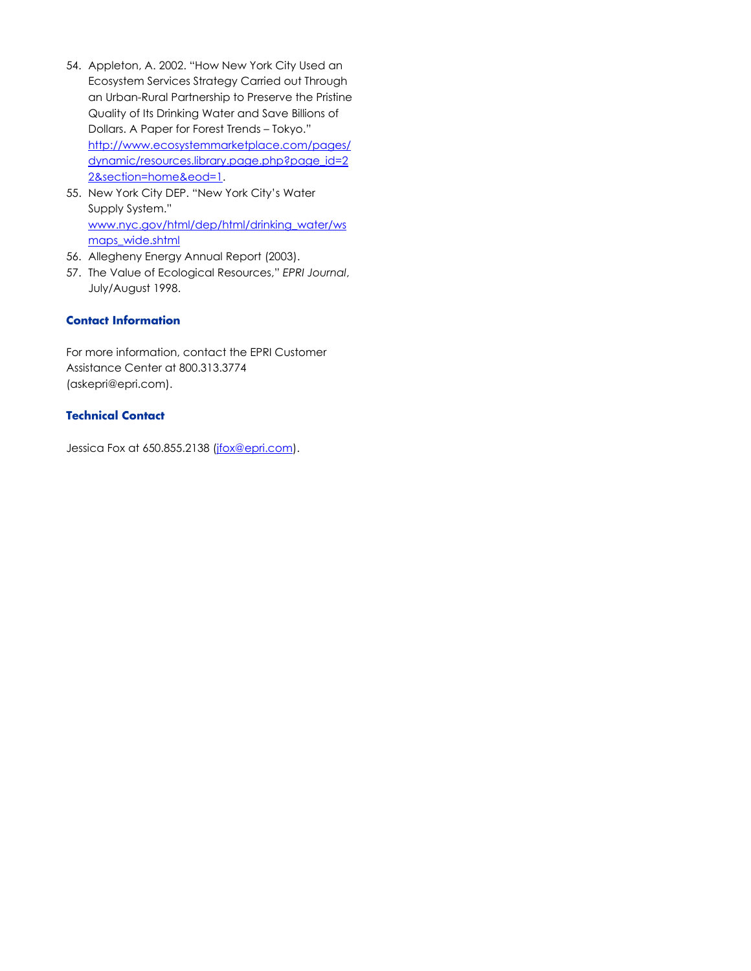- 54. Appleton, A. 2002. "How New York City Used an Ecosystem Services Strategy Carried out Through an Urban-Rural Partnership to Preserve the Pristine Quality of Its Drinking Water and Save Billions of Dollars. A Paper for Forest Trends – Tokyo." [http://www.ecosystemmarketplace.com/pages/](http://www.ecosystemmarketplace.com/pages/dynamic/resources.library.page.php?page_id=22§ion=home&eod=1) [dynamic/resources.library.page.php?page\\_id=2](http://www.ecosystemmarketplace.com/pages/dynamic/resources.library.page.php?page_id=22§ion=home&eod=1) [2&section=home&eod=1.](http://www.ecosystemmarketplace.com/pages/dynamic/resources.library.page.php?page_id=22§ion=home&eod=1)
- 55. New York City DEP. "New York City's Water Supply System." [www.nyc.gov/html/dep/html/drinking\\_water/ws](http://www.nyc.gov/html/dep/html/drinking_water/wsmaps_wide.shtml) [maps\\_wide.shtml](http://www.nyc.gov/html/dep/html/drinking_water/wsmaps_wide.shtml)
- 56. Allegheny Energy Annual Report (2003).
- 57. The Value of Ecological Resources," *EPRI Journal*, July/August 1998.

# **Contact Information**

For more information, contact the EPRI Customer Assistance Center at 800.313.3774 [\(askepri@epri.com\)](mailto:askepri@epri.com).

# **Technical Contact**

Jessica Fox at 650.855.2138 [\(jfox@epri.com\)](mailto:jfox@epri.com).